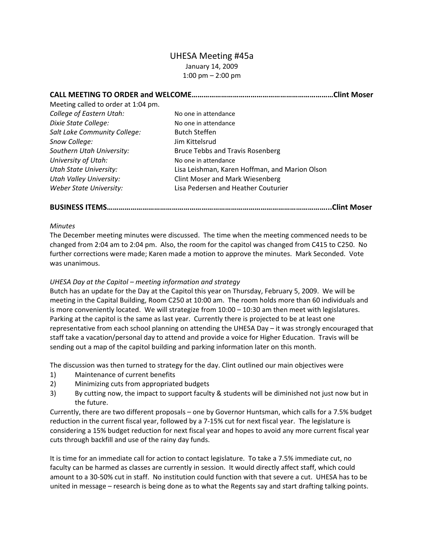# UHESA Meeting #45a January 14, 2009 1:00 pm – 2:00 pm

| CALL MEETING TO ORDER and WELCOME   | .Clint Moser                                   |
|-------------------------------------|------------------------------------------------|
| Meeting called to order at 1:04 pm. |                                                |
| College of Eastern Utah:            | No one in attendance                           |
| Dixie State College:                | No one in attendance                           |
| Salt Lake Community College:        | <b>Butch Steffen</b>                           |
| Snow College:                       | Jim Kittelsrud                                 |
| Southern Utah University:           | <b>Bruce Tebbs and Travis Rosenberg</b>        |
| University of Utah:                 | No one in attendance                           |
| <b>Utah State University:</b>       | Lisa Leishman, Karen Hoffman, and Marion Olson |
| <b>Utah Valley University:</b>      | <b>Clint Moser and Mark Wiesenberg</b>         |
| Weber State University:             | Lisa Pedersen and Heather Couturier            |

**BUSINESS ITEMS…………………………………………………………………………………………………...Clint Moser**

### *Minutes*

The December meeting minutes were discussed. The time when the meeting commenced needs to be changed from 2:04 am to 2:04 pm. Also, the room for the capitol was changed from C415 to C250. No further corrections were made; Karen made a motion to approve the minutes. Mark Seconded. Vote was unanimous.

## *UHESA Day at the Capitol – meeting information and strategy*

Butch has an update for the Day at the Capitol this year on Thursday, February 5, 2009. We will be meeting in the Capital Building, Room C250 at 10:00 am. The room holds more than 60 individuals and is more conveniently located. We will strategize from 10:00 – 10:30 am then meet with legislatures. Parking at the capitol is the same as last year. Currently there is projected to be at least one representative from each school planning on attending the UHESA Day – it was strongly encouraged that staff take a vacation/personal day to attend and provide a voice for Higher Education. Travis will be sending out a map of the capitol building and parking information later on this month.

The discussion was then turned to strategy for the day. Clint outlined our main objectives were

- 1) Maintenance of current benefits
- 2) Minimizing cuts from appropriated budgets
- 3) By cutting now, the impact to support faculty & students will be diminished not just now but in the future.

Currently, there are two different proposals – one by Governor Huntsman, which calls for a 7.5% budget reduction in the current fiscal year, followed by a 7‐15% cut for next fiscal year. The legislature is considering a 15% budget reduction for next fiscal year and hopes to avoid any more current fiscal year cuts through backfill and use of the rainy day funds.

It is time for an immediate call for action to contact legislature. To take a 7.5% immediate cut, no faculty can be harmed as classes are currently in session. It would directly affect staff, which could amount to a 30‐50% cut in staff. No institution could function with that severe a cut. UHESA has to be united in message – research is being done as to what the Regents say and start drafting talking points.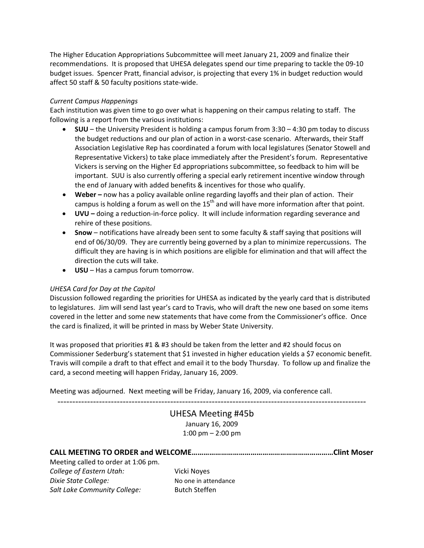The Higher Education Appropriations Subcommittee will meet January 21, 2009 and finalize their recommendations. It is proposed that UHESA delegates spend our time preparing to tackle the 09‐10 budget issues. Spencer Pratt, financial advisor, is projecting that every 1% in budget reduction would affect 50 staff & 50 faculty positions state‐wide.

## *Current Campus Happenings*

Each institution was given time to go over what is happening on their campus relating to staff. The following is a report from the various institutions:

- **SUU** the University President is holding a campus forum from 3:30 4:30 pm today to discuss the budget reductions and our plan of action in a worst-case scenario. Afterwards, their Staff Association Legislative Rep has coordinated a forum with local legislatures (Senator Stowell and Representative Vickers) to take place immediately after the President's forum. Representative Vickers is serving on the Higher Ed appropriations subcommittee, so feedback to him will be important. SUU is also currently offering a special early retirement incentive window through the end of January with added benefits & incentives for those who qualify.
- **Weber –** now has a policy available online regarding layoffs and their plan of action. Their campus is holding a forum as well on the  $15<sup>th</sup>$  and will have more information after that point.
- **UVU –** doing a reduction‐in‐force policy. It will include information regarding severance and rehire of these positions.
- **Snow** notifications have already been sent to some faculty & staff saying that positions will end of 06/30/09. They are currently being governed by a plan to minimize repercussions. The difficult they are having is in which positions are eligible for elimination and that will affect the direction the cuts will take.
- **USU** Has a campus forum tomorrow.

## *UHESA Card for Day at the Capitol*

Discussion followed regarding the priorities for UHESA as indicated by the yearly card that is distributed to legislatures. Jim will send last year's card to Travis, who will draft the new one based on some items covered in the letter and some new statements that have come from the Commissioner's office. Once the card is finalized, it will be printed in mass by Weber State University.

It was proposed that priorities #1 & #3 should be taken from the letter and #2 should focus on Commissioner Sederburg's statement that \$1 invested in higher education yields a \$7 economic benefit. Travis will compile a draft to that effect and email it to the body Thursday. To follow up and finalize the card, a second meeting will happen Friday, January 16, 2009.

Meeting was adjourned. Next meeting will be Friday, January 16, 2009, via conference call.

‐‐‐‐‐‐‐‐‐‐‐‐‐‐‐‐‐‐‐‐‐‐‐‐‐‐‐‐‐‐‐‐‐‐‐‐‐‐‐‐‐‐‐‐‐‐‐‐‐‐‐‐‐‐‐‐‐‐‐‐‐‐‐‐‐‐‐‐‐‐‐‐‐‐‐‐‐‐‐‐‐‐‐‐‐‐‐‐‐‐‐‐‐‐‐‐‐‐‐‐‐‐‐‐

UHESA Meeting #45b January 16, 2009 1:00 pm – 2:00 pm

Meeting called to order at 1:06 pm. *College of Eastern Utah:* Vicki Noyes **Dixie State College:** No one in attendance *Salt Lake Community College:* Butch Steffen